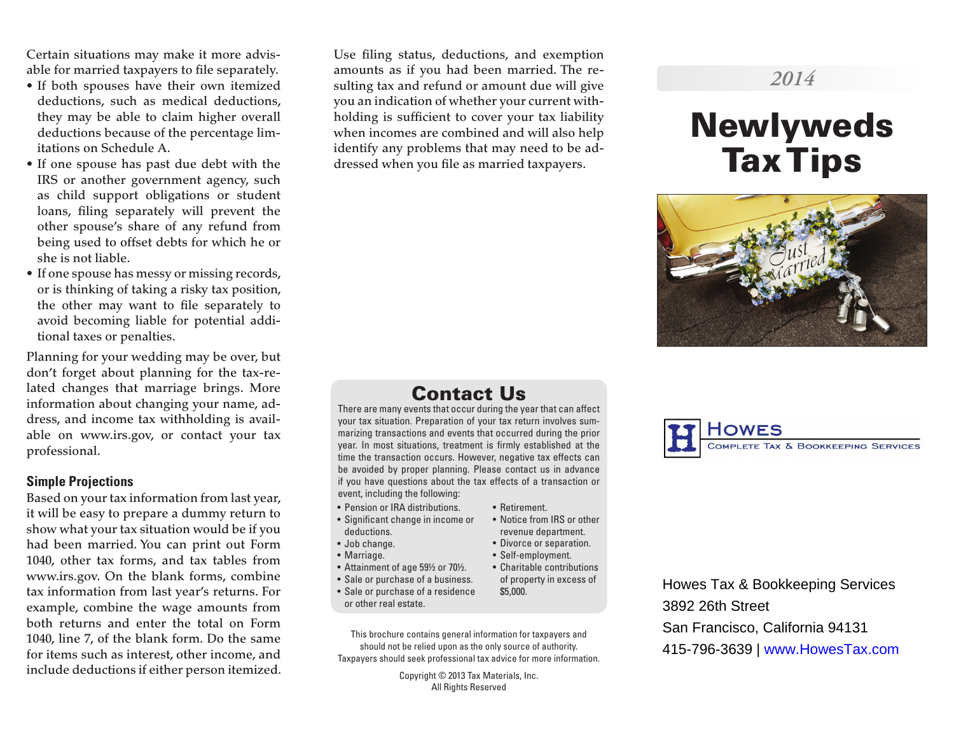Certain situations may make it more advisable for married taxpayers to file separately.

- If both spouses have their own itemized deductions, such as medical deductions, they may be able to claim higher overall deductions because of the percentage limitations on Schedule A.
- If one spouse has past due debt with the IRS or another government agency, such as child support obligations or student loans, filing separately will prevent the other spouse's share of any refund from being used to offset debts for which he or she is not liable.
- If one spouse has messy or missing records, or is thinking of taking a risky tax position, the other may want to file separately to avoid becoming liable for potential additional taxes or penalties.

Planning for your wedding may be over, but don't forget about planning for the tax-related changes that marriage brings. More information about changing your name, address, and income tax withholding is available on www.irs.gov, or contact your tax professional.

#### **Simple Projections**

Based on your tax information from last year, it will be easy to prepare a dummy return to show what your tax situation would be if you had been married. You can print out Form 1040, other tax forms, and tax tables from www.irs.gov. On the blank forms, combine tax information from last year's returns. For example, combine the wage amounts from both returns and enter the total on Form 1040, line 7, of the blank form. Do the same for items such as interest, other income, and include deductions if either person itemized. Use filing status, deductions, and exemption amounts as if you had been married. The resulting tax and refund or amount due will give you an indication of whether your current withholding is sufficient to cover your tax liability when incomes are combined and will also help identify any problems that may need to be addressed when you file as married taxpayers.

# *2014*

# Newlyweds Tax Tips



# Contact Us

There are many events that occur during the year that can affect your tax situation. Preparation of your tax return involves summarizing transactions and events that occurred during the prior year. In most situations, treatment is firmly established at the time the transaction occurs. However, negative tax effects can be avoided by proper planning. Please contact us in advance if you have questions about the tax effects of a transaction or event, including the following:

- Pension or IRA distributions.
- Significant change in income or deductions.
- Job change.
- Marriage.
- Attainment of age 59½ or 70½.
- Sale or purchase of a business.
- Sale or purchase of a residence or other real estate.

This brochure contains general information for taxpayers and should not be relied upon as the only source of authority. Taxpayers should seek professional tax advice for more information.

> Copyright © 2013 Tax Materials, Inc. All Rights Reserved



Howes Tax & Bookkeeping Services 3892 26th Street San Francisco, California 94131 415-796-3639 | www.HowesTax.com

- Retirement. • Notice from IRS or other
	- revenue department.
	- Divorce or separation. • Self-employment.
	- Charitable contributions
		- of property in excess of \$5,000.